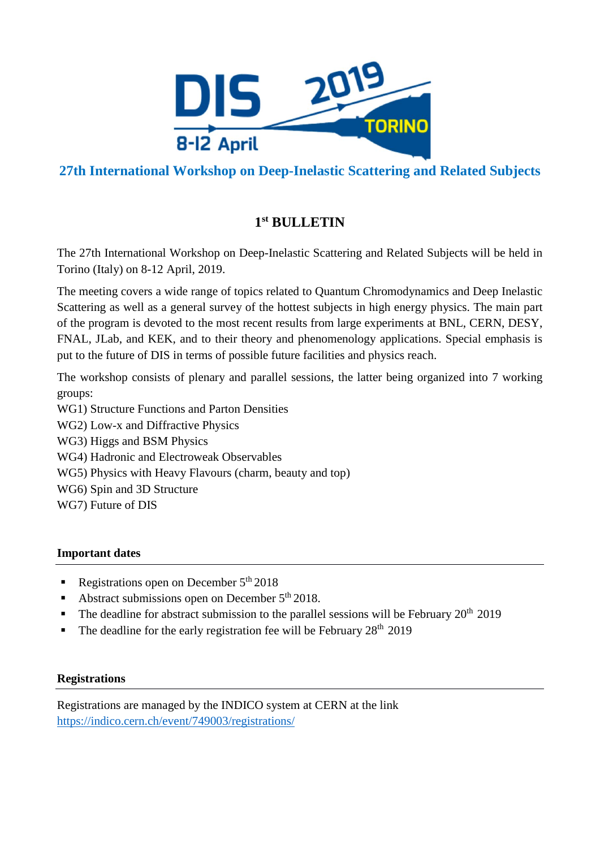

## **27th International Workshop on Deep-Inelastic Scattering and Related Subjects**

# **1 st BULLETIN**

The 27th International Workshop on Deep-Inelastic Scattering and Related Subjects will be held in Torino (Italy) on 8-12 April, 2019.

The meeting covers a wide range of topics related to Quantum Chromodynamics and Deep Inelastic Scattering as well as a general survey of the hottest subjects in high energy physics. The main part of the program is devoted to the most recent results from large experiments at BNL, CERN, DESY, FNAL, JLab, and KEK, and to their theory and phenomenology applications. Special emphasis is put to the future of DIS in terms of possible future facilities and physics reach.

The workshop consists of plenary and parallel sessions, the latter being organized into 7 working groups:

WG1) Structure Functions and Parton Densities

WG2) Low-x and Diffractive Physics

WG3) Higgs and BSM Physics

WG4) Hadronic and Electroweak Observables

WG5) Physics with Heavy Flavours (charm, beauty and top)

WG6) Spin and 3D Structure

WG7) Future of DIS

### **Important dates**

- Registrations open on December  $5<sup>th</sup> 2018$
- Abstract submissions open on December  $5<sup>th</sup> 2018$ .
- The deadline for abstract submission to the parallel sessions will be February  $20^{th}$  2019
- $\blacksquare$  The deadline for the early registration fee will be February 28<sup>th</sup> 2019

### **Registrations**

Registrations are managed by the INDICO system at CERN at the link <https://indico.cern.ch/event/749003/registrations/>